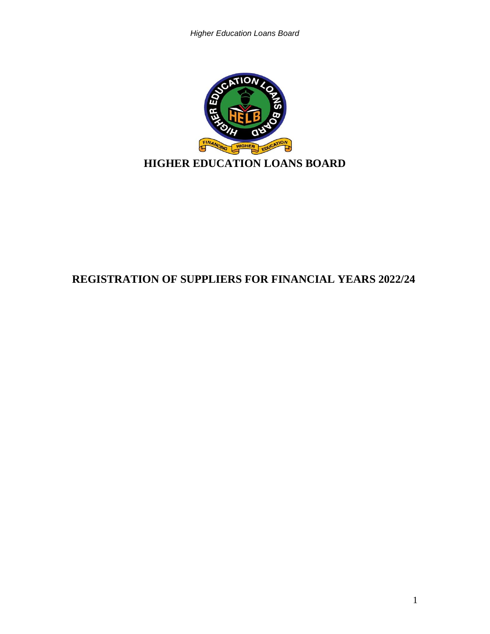

# **REGISTRATION OF SUPPLIERS FOR FINANCIAL YEARS 2022/24**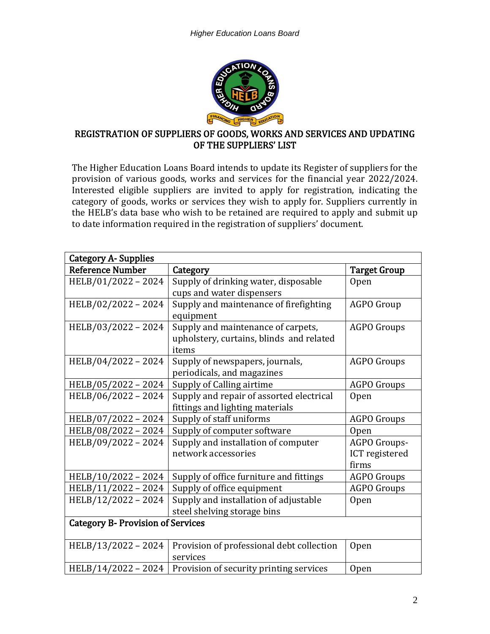

#### REGISTRATION OF SUPPLIERS OF GOODS, WORKS AND SERVICES AND UPDATING OF THE SUPPLIERS' LIST

The Higher Education Loans Board intends to update its Register of suppliers for the provision of various goods, works and services for the financial year 2022/2024. Interested eligible suppliers are invited to apply for registration, indicating the category of goods, works or services they wish to apply for. Suppliers currently in the HELB's data base who wish to be retained are required to apply and submit up to date information required in the registration of suppliers' document.

| <b>Category A- Supplies</b>              |                                           |                     |  |  |  |  |  |
|------------------------------------------|-------------------------------------------|---------------------|--|--|--|--|--|
| <b>Reference Number</b>                  | Category                                  | <b>Target Group</b> |  |  |  |  |  |
| HELB/01/2022-2024                        | Supply of drinking water, disposable      | <b>Open</b>         |  |  |  |  |  |
|                                          | cups and water dispensers                 |                     |  |  |  |  |  |
| HELB/02/2022 - 2024                      | Supply and maintenance of firefighting    | <b>AGPO Group</b>   |  |  |  |  |  |
|                                          | equipment                                 |                     |  |  |  |  |  |
| HELB/03/2022 - 2024                      | Supply and maintenance of carpets,        | <b>AGPO Groups</b>  |  |  |  |  |  |
|                                          | upholstery, curtains, blinds and related  |                     |  |  |  |  |  |
|                                          | items                                     |                     |  |  |  |  |  |
| HELB/04/2022 - 2024                      | Supply of newspapers, journals,           | <b>AGPO Groups</b>  |  |  |  |  |  |
|                                          | periodicals, and magazines                |                     |  |  |  |  |  |
| HELB/05/2022 - 2024                      | Supply of Calling airtime                 | <b>AGPO Groups</b>  |  |  |  |  |  |
| HELB/06/2022 - 2024                      | Supply and repair of assorted electrical  | <b>Open</b>         |  |  |  |  |  |
|                                          | fittings and lighting materials           |                     |  |  |  |  |  |
| HELB/07/2022 - 2024                      | Supply of staff uniforms                  | <b>AGPO Groups</b>  |  |  |  |  |  |
| HELB/08/2022-2024                        | Supply of computer software               | <b>Open</b>         |  |  |  |  |  |
| HELB/09/2022 - 2024                      | Supply and installation of computer       | AGPO Groups-        |  |  |  |  |  |
|                                          | network accessories                       | ICT registered      |  |  |  |  |  |
|                                          |                                           | firms               |  |  |  |  |  |
| HELB/10/2022 - 2024                      | Supply of office furniture and fittings   | <b>AGPO Groups</b>  |  |  |  |  |  |
| HELB/11/2022 - 2024                      | Supply of office equipment                | <b>AGPO Groups</b>  |  |  |  |  |  |
| HELB/12/2022 - 2024                      | Supply and installation of adjustable     | <b>Open</b>         |  |  |  |  |  |
|                                          | steel shelving storage bins               |                     |  |  |  |  |  |
| <b>Category B- Provision of Services</b> |                                           |                     |  |  |  |  |  |
|                                          |                                           |                     |  |  |  |  |  |
| HELB/13/2022 - 2024                      | Provision of professional debt collection | <b>Open</b>         |  |  |  |  |  |
|                                          | services                                  |                     |  |  |  |  |  |
| HELB/14/2022 - 2024                      | Provision of security printing services   | Open                |  |  |  |  |  |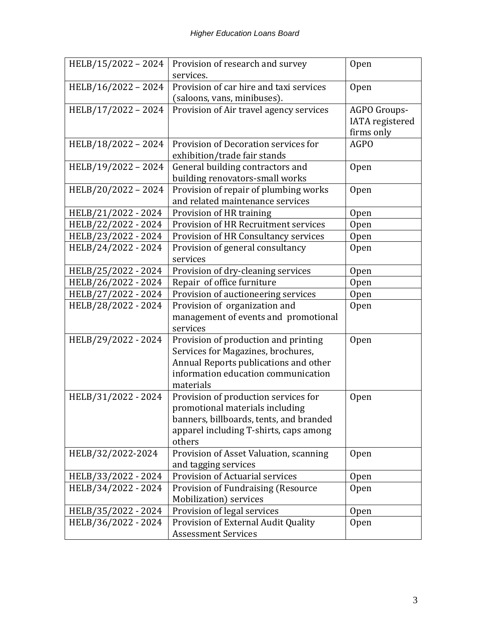| HELB/15/2022 - 2024 | Provision of research and survey<br>services.                                                                                                                           | <b>Open</b>                                          |
|---------------------|-------------------------------------------------------------------------------------------------------------------------------------------------------------------------|------------------------------------------------------|
| HELB/16/2022 - 2024 | Provision of car hire and taxi services<br>(saloons, vans, minibuses).                                                                                                  | <b>Open</b>                                          |
| HELB/17/2022 - 2024 | Provision of Air travel agency services                                                                                                                                 | AGPO Groups-<br><b>IATA</b> registered<br>firms only |
| HELB/18/2022 - 2024 | Provision of Decoration services for<br>exhibition/trade fair stands                                                                                                    | <b>AGPO</b>                                          |
| HELB/19/2022 - 2024 | General building contractors and<br>building renovators-small works                                                                                                     | Open                                                 |
| HELB/20/2022 - 2024 | Provision of repair of plumbing works<br>and related maintenance services                                                                                               | <b>Open</b>                                          |
| HELB/21/2022 - 2024 | Provision of HR training                                                                                                                                                | Open                                                 |
| HELB/22/2022 - 2024 | Provision of HR Recruitment services                                                                                                                                    | Open                                                 |
| HELB/23/2022 - 2024 | Provision of HR Consultancy services                                                                                                                                    | Open                                                 |
| HELB/24/2022 - 2024 | Provision of general consultancy<br>services                                                                                                                            | <b>Open</b>                                          |
| HELB/25/2022 - 2024 | Provision of dry-cleaning services                                                                                                                                      | <b>Open</b>                                          |
| HELB/26/2022 - 2024 | Repair of office furniture                                                                                                                                              | <b>Open</b>                                          |
| HELB/27/2022 - 2024 | Provision of auctioneering services                                                                                                                                     | <b>Open</b>                                          |
| HELB/28/2022 - 2024 | Provision of organization and                                                                                                                                           | <b>Open</b>                                          |
|                     | management of events and promotional                                                                                                                                    |                                                      |
|                     | services                                                                                                                                                                |                                                      |
| HELB/29/2022 - 2024 | Provision of production and printing<br>Services for Magazines, brochures,<br>Annual Reports publications and other<br>information education communication<br>materials | <b>Open</b>                                          |
| HELB/31/2022 - 2024 | Provision of production services for<br>promotional materials including<br>banners, billboards, tents, and branded<br>apparel including T-shirts, caps among<br>others  | <b>Open</b>                                          |
| HELB/32/2022-2024   | Provision of Asset Valuation, scanning                                                                                                                                  | Open                                                 |
|                     | and tagging services                                                                                                                                                    |                                                      |
| HELB/33/2022 - 2024 | Provision of Actuarial services                                                                                                                                         | 0 <sub>pen</sub>                                     |
| HELB/34/2022 - 2024 | Provision of Fundraising (Resource<br>Mobilization) services                                                                                                            | Open                                                 |
| HELB/35/2022 - 2024 | Provision of legal services                                                                                                                                             | Open                                                 |
| HELB/36/2022 - 2024 | Provision of External Audit Quality<br><b>Assessment Services</b>                                                                                                       | Open                                                 |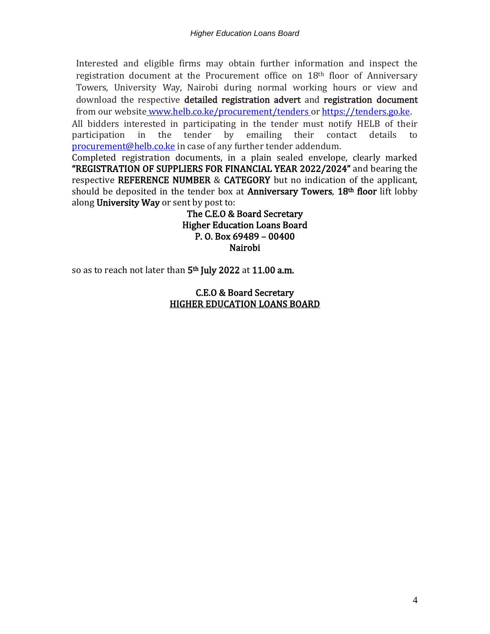Interested and eligible firms may obtain further information and inspect the registration document at the Procurement office on 18th floor of Anniversary Towers, University Way, Nairobi during normal working hours or view and download the respective detailed registration advert and registration document from our website [www.helb.co.ke/procurement/tenders o](http://www.helb.co.ke/procurement/tenders)r [https://tenders.go.ke.](https://tenders.go.ke/) All bidders interested in participating in the tender must notify HELB of their participation in the tender by emailing their contact details to [procurement@helb.co.ke](mailto:procurement@helb.co.ke) in case of any further tender addendum.

Completed registration documents, in a plain sealed envelope, clearly marked "REGISTRATION OF SUPPLIERS FOR FINANCIAL YEAR 2022/2024" and bearing the respective REFERENCE NUMBER & CATEGORY but no indication of the applicant, should be deposited in the tender box at **Anniversary Towers, 18th floor** lift lobby along University Way or sent by post to:

> The C.E.O & Board Secretary Higher Education Loans Board P. O. Box 69489 – 00400 Nairobi

so as to reach not later than 5<sup>th</sup> July 2022 at 11.00 a.m.

#### C.E.O & Board Secretary HIGHER EDUCATION LOANS BOARD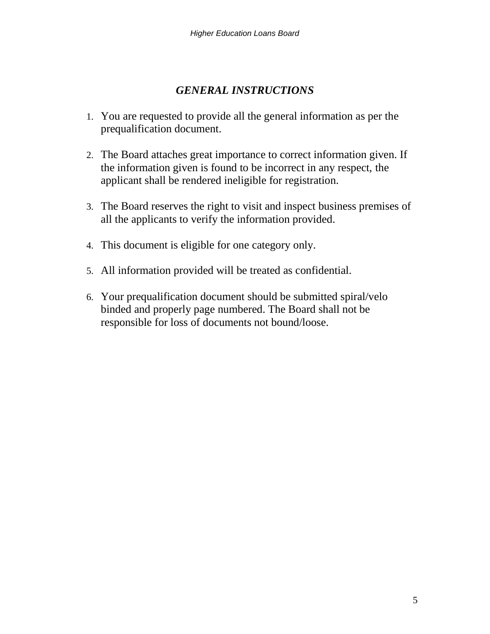### *GENERAL INSTRUCTIONS*

- 1. You are requested to provide all the general information as per the prequalification document.
- 2. The Board attaches great importance to correct information given. If the information given is found to be incorrect in any respect, the applicant shall be rendered ineligible for registration.
- 3. The Board reserves the right to visit and inspect business premises of all the applicants to verify the information provided.
- 4. This document is eligible for one category only.
- 5. All information provided will be treated as confidential.
- 6. Your prequalification document should be submitted spiral/velo binded and properly page numbered. The Board shall not be responsible for loss of documents not bound/loose.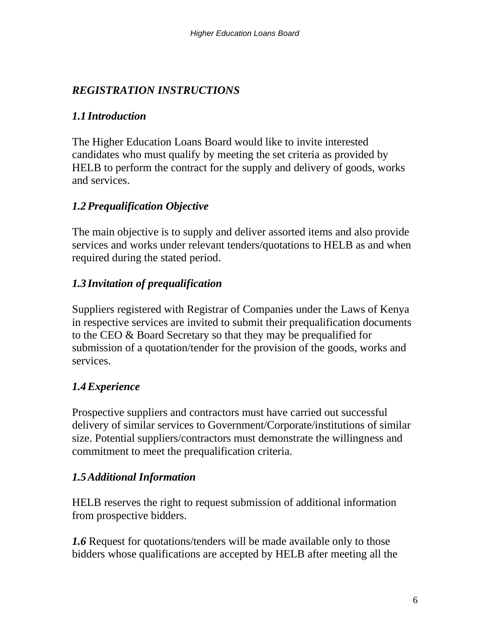# *REGISTRATION INSTRUCTIONS*

### *1.1 Introduction*

The Higher Education Loans Board would like to invite interested candidates who must qualify by meeting the set criteria as provided by HELB to perform the contract for the supply and delivery of goods, works and services.

### *1.2Prequalification Objective*

The main objective is to supply and deliver assorted items and also provide services and works under relevant tenders/quotations to HELB as and when required during the stated period.

### *1.3 Invitation of prequalification*

Suppliers registered with Registrar of Companies under the Laws of Kenya in respective services are invited to submit their prequalification documents to the CEO & Board Secretary so that they may be prequalified for submission of a quotation/tender for the provision of the goods, works and services.

## *1.4Experience*

Prospective suppliers and contractors must have carried out successful delivery of similar services to Government/Corporate/institutions of similar size. Potential suppliers/contractors must demonstrate the willingness and commitment to meet the prequalification criteria.

#### *1.5Additional Information*

HELB reserves the right to request submission of additional information from prospective bidders.

*1.6* Request for quotations/tenders will be made available only to those bidders whose qualifications are accepted by HELB after meeting all the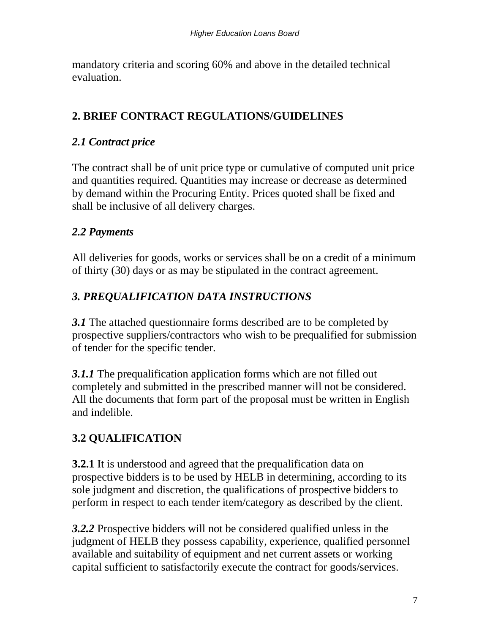mandatory criteria and scoring 60% and above in the detailed technical evaluation.

# **2. BRIEF CONTRACT REGULATIONS/GUIDELINES**

### *2.1 Contract price*

The contract shall be of unit price type or cumulative of computed unit price and quantities required. Quantities may increase or decrease as determined by demand within the Procuring Entity. Prices quoted shall be fixed and shall be inclusive of all delivery charges.

### *2.2 Payments*

All deliveries for goods, works or services shall be on a credit of a minimum of thirty (30) days or as may be stipulated in the contract agreement.

# *3. PREQUALIFICATION DATA INSTRUCTIONS*

*3.1* The attached questionnaire forms described are to be completed by prospective suppliers/contractors who wish to be prequalified for submission of tender for the specific tender.

*3.1.1* The prequalification application forms which are not filled out completely and submitted in the prescribed manner will not be considered. All the documents that form part of the proposal must be written in English and indelible.

# **3.2 QUALIFICATION**

**3.2.1** It is understood and agreed that the prequalification data on prospective bidders is to be used by HELB in determining, according to its sole judgment and discretion, the qualifications of prospective bidders to perform in respect to each tender item/category as described by the client.

*3.2.2* Prospective bidders will not be considered qualified unless in the judgment of HELB they possess capability, experience, qualified personnel available and suitability of equipment and net current assets or working capital sufficient to satisfactorily execute the contract for goods/services.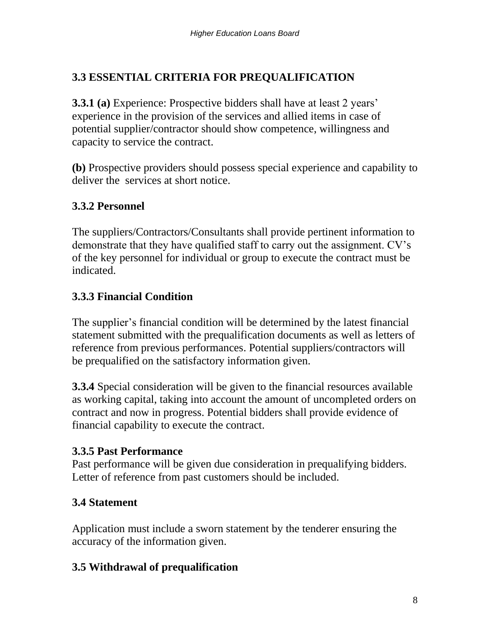# **3.3 ESSENTIAL CRITERIA FOR PREQUALIFICATION**

**3.3.1 (a)** Experience: Prospective bidders shall have at least 2 years' experience in the provision of the services and allied items in case of potential supplier/contractor should show competence, willingness and capacity to service the contract.

**(b)** Prospective providers should possess special experience and capability to deliver the services at short notice.

## **3.3.2 Personnel**

The suppliers/Contractors/Consultants shall provide pertinent information to demonstrate that they have qualified staff to carry out the assignment. CV's of the key personnel for individual or group to execute the contract must be indicated.

## **3.3.3 Financial Condition**

The supplier's financial condition will be determined by the latest financial statement submitted with the prequalification documents as well as letters of reference from previous performances. Potential suppliers/contractors will be prequalified on the satisfactory information given.

**3.3.4** Special consideration will be given to the financial resources available as working capital, taking into account the amount of uncompleted orders on contract and now in progress. Potential bidders shall provide evidence of financial capability to execute the contract.

#### **3.3.5 Past Performance**

Past performance will be given due consideration in prequalifying bidders. Letter of reference from past customers should be included.

## **3.4 Statement**

Application must include a sworn statement by the tenderer ensuring the accuracy of the information given.

## **3.5 Withdrawal of prequalification**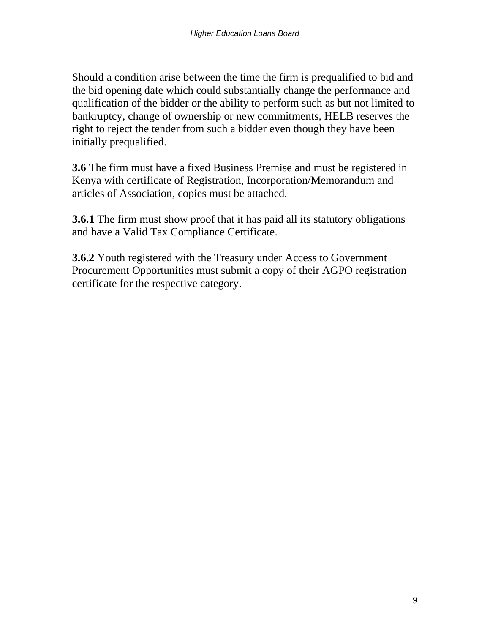Should a condition arise between the time the firm is prequalified to bid and the bid opening date which could substantially change the performance and qualification of the bidder or the ability to perform such as but not limited to bankruptcy, change of ownership or new commitments, HELB reserves the right to reject the tender from such a bidder even though they have been initially prequalified.

**3.6** The firm must have a fixed Business Premise and must be registered in Kenya with certificate of Registration, Incorporation/Memorandum and articles of Association, copies must be attached.

**3.6.1** The firm must show proof that it has paid all its statutory obligations and have a Valid Tax Compliance Certificate.

**3.6.2** Youth registered with the Treasury under Access to Government Procurement Opportunities must submit a copy of their AGPO registration certificate for the respective category.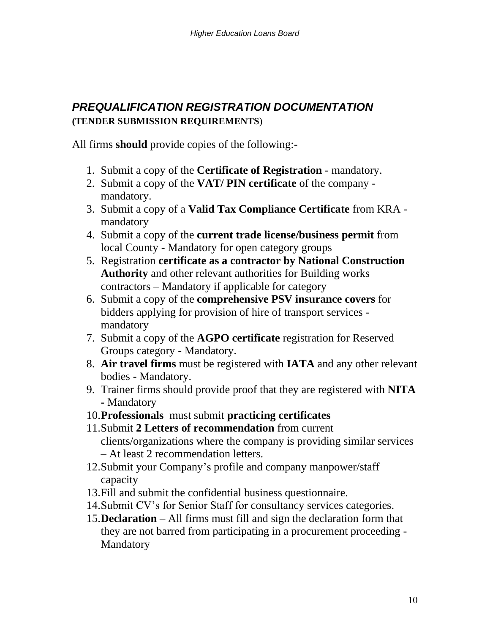# *PREQUALIFICATION REGISTRATION DOCUMENTATION* **(TENDER SUBMISSION REQUIREMENTS**)

All firms **should** provide copies of the following:-

- 1. Submit a copy of the **Certificate of Registration** mandatory.
- 2. Submit a copy of the **VAT/ PIN certificate** of the company mandatory.
- 3. Submit a copy of a **Valid Tax Compliance Certificate** from KRA mandatory
- 4. Submit a copy of the **current trade license/business permit** from local County - Mandatory for open category groups
- 5. Registration **certificate as a contractor by National Construction Authority** and other relevant authorities for Building works contractors – Mandatory if applicable for category
- 6. Submit a copy of the **comprehensive PSV insurance covers** for bidders applying for provision of hire of transport services mandatory
- 7. Submit a copy of the **AGPO certificate** registration for Reserved Groups category - Mandatory.
- 8. **Air travel firms** must be registered with **IATA** and any other relevant bodies - Mandatory.
- 9. Trainer firms should provide proof that they are registered with **NITA -** Mandatory
- 10.**Professionals** must submit **practicing certificates**
- 11.Submit **2 Letters of recommendation** from current clients/organizations where the company is providing similar services – At least 2 recommendation letters.
- 12.Submit your Company's profile and company manpower/staff capacity
- 13.Fill and submit the confidential business questionnaire.
- 14.Submit CV's for Senior Staff for consultancy services categories.
- 15.**Declaration** All firms must fill and sign the declaration form that they are not barred from participating in a procurement proceeding - **Mandatory**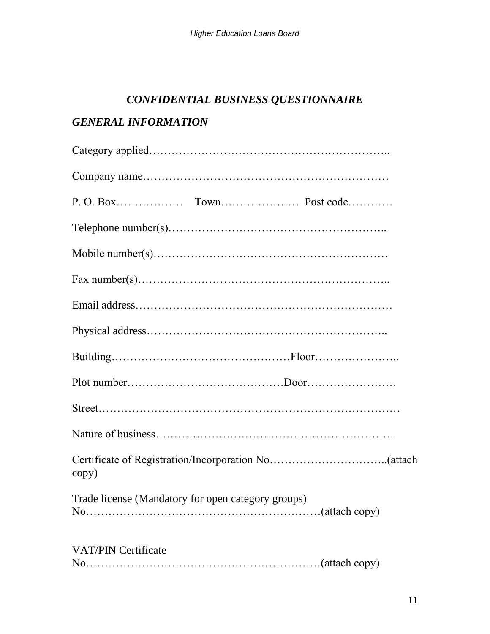# *CONFIDENTIAL BUSINESS QUESTIONNAIRE*

# *GENERAL INFORMATION*

| copy)                                              |
|----------------------------------------------------|
| Trade license (Mandatory for open category groups) |
| <b>VAT/PIN Certificate</b>                         |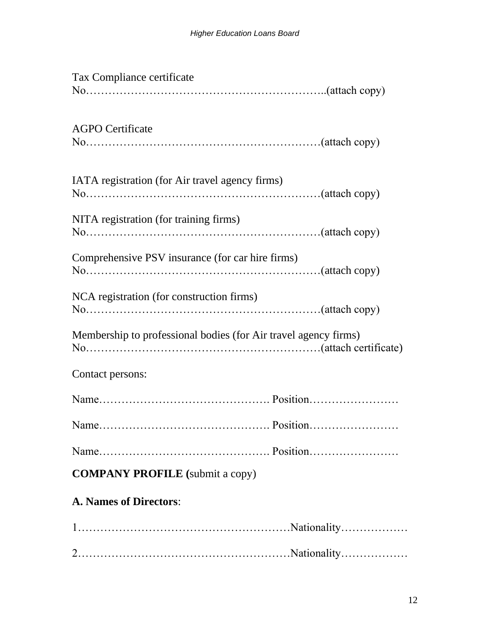| Tax Compliance certificate                                      |
|-----------------------------------------------------------------|
|                                                                 |
| <b>AGPO</b> Certificate                                         |
| IATA registration (for Air travel agency firms)                 |
| NITA registration (for training firms)                          |
| Comprehensive PSV insurance (for car hire firms)                |
| NCA registration (for construction firms)                       |
| Membership to professional bodies (for Air travel agency firms) |
| Contact persons:                                                |
|                                                                 |
|                                                                 |
|                                                                 |
| <b>COMPANY PROFILE</b> (submit a copy)                          |
| <b>A. Names of Directors:</b>                                   |
|                                                                 |
|                                                                 |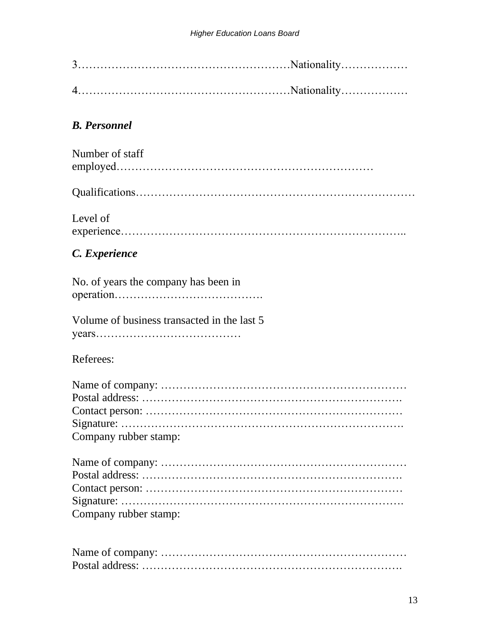## *B. Personnel*

| Number of staff |  |
|-----------------|--|
|                 |  |

|--|

Level of experience…………………………………………………………………..

### *C. Experience*

| No. of years the company has been in |  |
|--------------------------------------|--|
|                                      |  |

Volume of business transacted in the last 5 years…………………………………

#### Referees:

| Company rubber stamp: |
|-----------------------|

| Company rubber stamp: |
|-----------------------|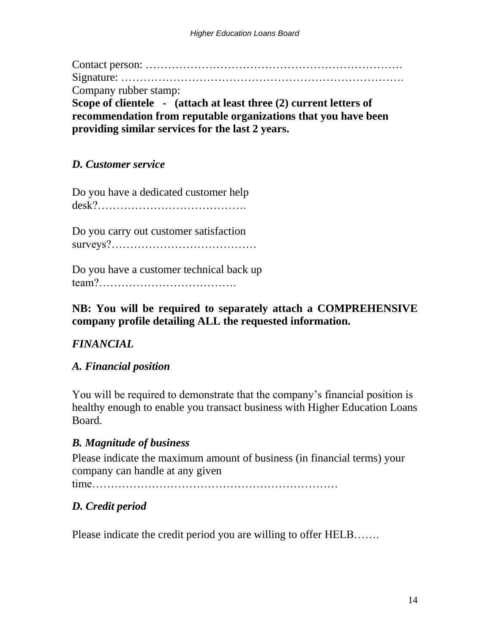Contact person: …………………………………………………………… Signature: …………………………………………………………………. Company rubber stamp: **Scope of clientele - (attach at least three (2) current letters of recommendation from reputable organizations that you have been providing similar services for the last 2 years.**

### *D. Customer service*

Do you have a dedicated customer help desk?………………………………….

Do you carry out customer satisfaction surveys?…………………………………

Do you have a customer technical back up team?……………………………….

#### **NB: You will be required to separately attach a COMPREHENSIVE company profile detailing ALL the requested information.**

## *FINANCIAL*

#### *A. Financial position*

You will be required to demonstrate that the company's financial position is healthy enough to enable you transact business with Higher Education Loans Board.

#### *B. Magnitude of business*

Please indicate the maximum amount of business (in financial terms) your company can handle at any given

time…………………………………………………………

## *D. Credit period*

Please indicate the credit period you are willing to offer HELB…….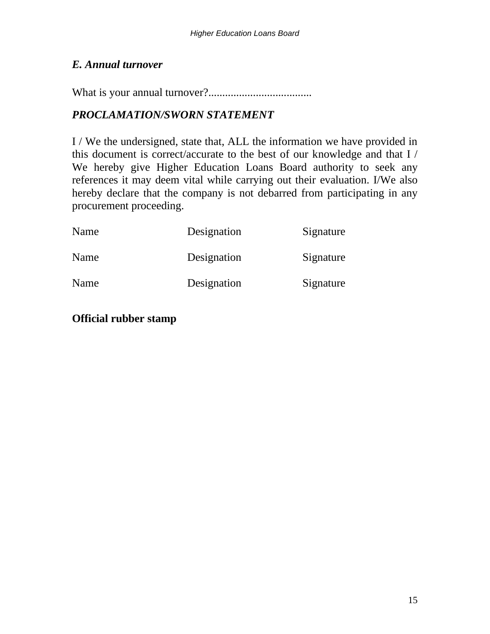#### *E. Annual turnover*

What is your annual turnover?.....................................

## *PROCLAMATION/SWORN STATEMENT*

I / We the undersigned, state that, ALL the information we have provided in this document is correct/accurate to the best of our knowledge and that I / We hereby give Higher Education Loans Board authority to seek any references it may deem vital while carrying out their evaluation. I/We also hereby declare that the company is not debarred from participating in any procurement proceeding.

| Name | Designation | Signature |
|------|-------------|-----------|
| Name | Designation | Signature |
| Name | Designation | Signature |

#### **Official rubber stamp**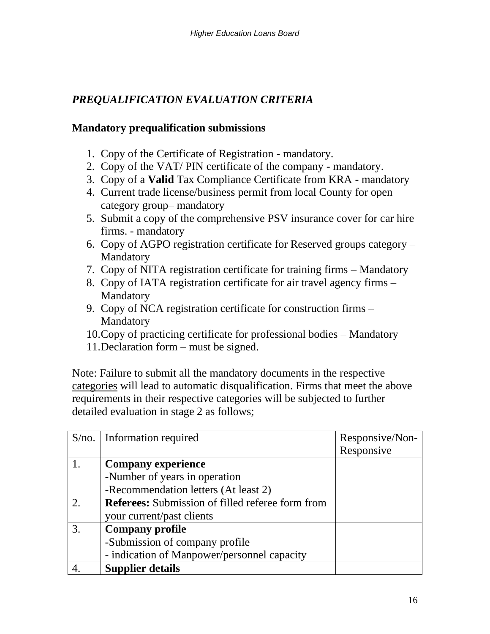## *PREQUALIFICATION EVALUATION CRITERIA*

#### **Mandatory prequalification submissions**

- 1. Copy of the Certificate of Registration mandatory.
- 2. Copy of the VAT/ PIN certificate of the company mandatory.
- 3. Copy of a **Valid** Tax Compliance Certificate from KRA mandatory
- 4. Current trade license/business permit from local County for open category group– mandatory
- 5. Submit a copy of the comprehensive PSV insurance cover for car hire firms. - mandatory
- 6. Copy of AGPO registration certificate for Reserved groups category Mandatory
- 7. Copy of NITA registration certificate for training firms Mandatory
- 8. Copy of IATA registration certificate for air travel agency firms Mandatory
- 9. Copy of NCA registration certificate for construction firms Mandatory
- 10.Copy of practicing certificate for professional bodies Mandatory
- 11.Declaration form must be signed.

Note: Failure to submit all the mandatory documents in the respective categories will lead to automatic disqualification. Firms that meet the above requirements in their respective categories will be subjected to further detailed evaluation in stage 2 as follows;

| $S/no.$ Information required                     | Responsive/Non- |
|--------------------------------------------------|-----------------|
|                                                  | Responsive      |
| <b>Company experience</b>                        |                 |
| -Number of years in operation                    |                 |
| -Recommendation letters (At least 2)             |                 |
| Referees: Submission of filled referee form from |                 |
| your current/past clients                        |                 |
| <b>Company profile</b>                           |                 |
| -Submission of company profile                   |                 |
| - indication of Manpower/personnel capacity      |                 |
| <b>Supplier details</b>                          |                 |